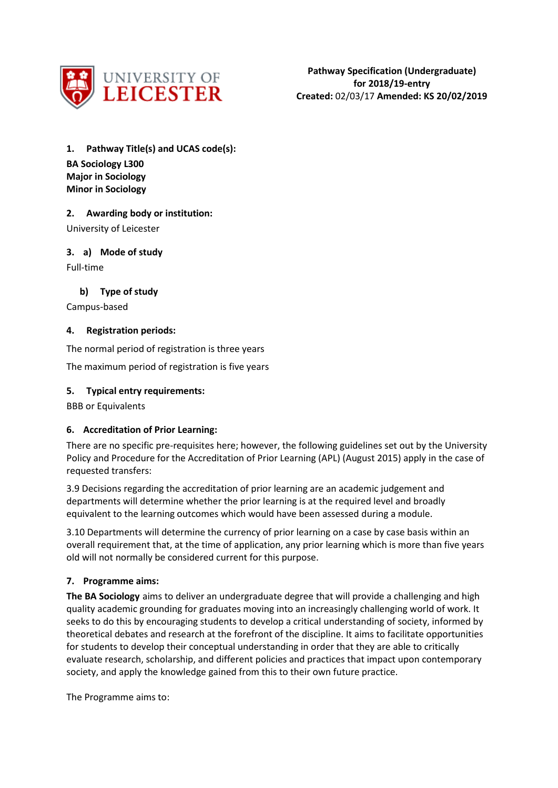

**1. Pathway Title(s) and UCAS code(s): BA Sociology L300**

**Major in Sociology Minor in Sociology**

# **2. Awarding body or institution:**

University of Leicester

**3. a) Mode of study**

Full-time

# **b) Type of study**

Campus-based

# **4. Registration periods:**

The normal period of registration is three years

The maximum period of registration is five years

## **5. Typical entry requirements:**

BBB or Equivalents

# **6. Accreditation of Prior Learning:**

There are no specific pre-requisites here; however, the following guidelines set out by the University Policy and Procedure for the Accreditation of Prior Learning (APL) (August 2015) apply in the case of requested transfers:

3.9 Decisions regarding the accreditation of prior learning are an academic judgement and departments will determine whether the prior learning is at the required level and broadly equivalent to the learning outcomes which would have been assessed during a module.

3.10 Departments will determine the currency of prior learning on a case by case basis within an overall requirement that, at the time of application, any prior learning which is more than five years old will not normally be considered current for this purpose.

# **7. Programme aims:**

**The BA Sociology** aims to deliver an undergraduate degree that will provide a challenging and high quality academic grounding for graduates moving into an increasingly challenging world of work. It seeks to do this by encouraging students to develop a critical understanding of society, informed by theoretical debates and research at the forefront of the discipline. It aims to facilitate opportunities for students to develop their conceptual understanding in order that they are able to critically evaluate research, scholarship, and different policies and practices that impact upon contemporary society, and apply the knowledge gained from this to their own future practice.

The Programme aims to: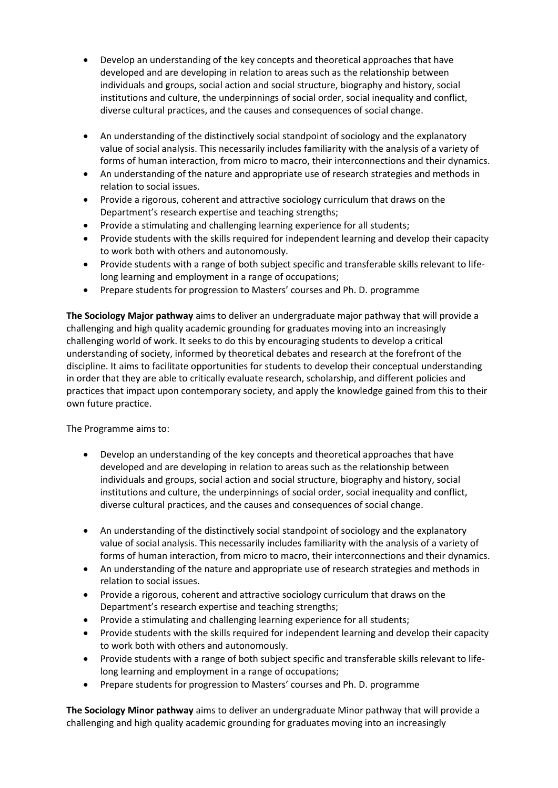- Develop an understanding of the key concepts and theoretical approaches that have developed and are developing in relation to areas such as the relationship between individuals and groups, social action and social structure, biography and history, social institutions and culture, the underpinnings of social order, social inequality and conflict, diverse cultural practices, and the causes and consequences of social change.
- An understanding of the distinctively social standpoint of sociology and the explanatory value of social analysis. This necessarily includes familiarity with the analysis of a variety of forms of human interaction, from micro to macro, their interconnections and their dynamics.
- An understanding of the nature and appropriate use of research strategies and methods in relation to social issues.
- Provide a rigorous, coherent and attractive sociology curriculum that draws on the Department's research expertise and teaching strengths;
- Provide a stimulating and challenging learning experience for all students;
- Provide students with the skills required for independent learning and develop their capacity to work both with others and autonomously.
- Provide students with a range of both subject specific and transferable skills relevant to lifelong learning and employment in a range of occupations;
- Prepare students for progression to Masters' courses and Ph. D. programme

**The Sociology Major pathway** aims to deliver an undergraduate major pathway that will provide a challenging and high quality academic grounding for graduates moving into an increasingly challenging world of work. It seeks to do this by encouraging students to develop a critical understanding of society, informed by theoretical debates and research at the forefront of the discipline. It aims to facilitate opportunities for students to develop their conceptual understanding in order that they are able to critically evaluate research, scholarship, and different policies and practices that impact upon contemporary society, and apply the knowledge gained from this to their own future practice.

The Programme aims to:

- Develop an understanding of the key concepts and theoretical approaches that have developed and are developing in relation to areas such as the relationship between individuals and groups, social action and social structure, biography and history, social institutions and culture, the underpinnings of social order, social inequality and conflict, diverse cultural practices, and the causes and consequences of social change.
- An understanding of the distinctively social standpoint of sociology and the explanatory value of social analysis. This necessarily includes familiarity with the analysis of a variety of forms of human interaction, from micro to macro, their interconnections and their dynamics.
- An understanding of the nature and appropriate use of research strategies and methods in relation to social issues.
- Provide a rigorous, coherent and attractive sociology curriculum that draws on the Department's research expertise and teaching strengths;
- Provide a stimulating and challenging learning experience for all students;
- Provide students with the skills required for independent learning and develop their capacity to work both with others and autonomously.
- Provide students with a range of both subject specific and transferable skills relevant to lifelong learning and employment in a range of occupations;
- Prepare students for progression to Masters' courses and Ph. D. programme

**The Sociology Minor pathway** aims to deliver an undergraduate Minor pathway that will provide a challenging and high quality academic grounding for graduates moving into an increasingly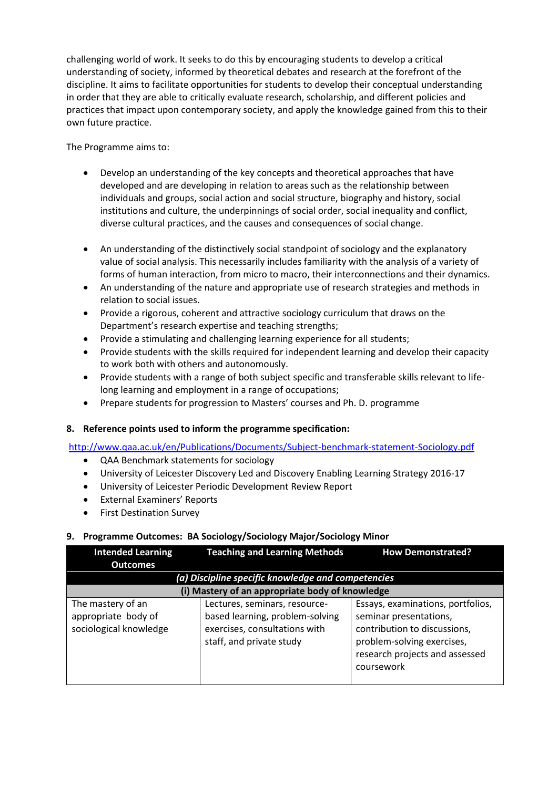challenging world of work. It seeks to do this by encouraging students to develop a critical understanding of society, informed by theoretical debates and research at the forefront of the discipline. It aims to facilitate opportunities for students to develop their conceptual understanding in order that they are able to critically evaluate research, scholarship, and different policies and practices that impact upon contemporary society, and apply the knowledge gained from this to their own future practice.

The Programme aims to:

- Develop an understanding of the key concepts and theoretical approaches that have developed and are developing in relation to areas such as the relationship between individuals and groups, social action and social structure, biography and history, social institutions and culture, the underpinnings of social order, social inequality and conflict, diverse cultural practices, and the causes and consequences of social change.
- An understanding of the distinctively social standpoint of sociology and the explanatory value of social analysis. This necessarily includes familiarity with the analysis of a variety of forms of human interaction, from micro to macro, their interconnections and their dynamics.
- An understanding of the nature and appropriate use of research strategies and methods in relation to social issues.
- Provide a rigorous, coherent and attractive sociology curriculum that draws on the Department's research expertise and teaching strengths;
- Provide a stimulating and challenging learning experience for all students;
- Provide students with the skills required for independent learning and develop their capacity to work both with others and autonomously.
- Provide students with a range of both subject specific and transferable skills relevant to lifelong learning and employment in a range of occupations;
- Prepare students for progression to Masters' courses and Ph. D. programme

# **8. Reference points used to inform the programme specification:**

<http://www.qaa.ac.uk/en/Publications/Documents/Subject-benchmark-statement-Sociology.pdf>

- QAA Benchmark statements for sociology
- University of Leicester Discovery Led and Discovery Enabling Learning Strategy 2016-17
- University of Leicester Periodic Development Review Report
- External Examiners' Reports
- First Destination Survey

# **9. Programme Outcomes: BA Sociology/Sociology Major/Sociology Minor**

| <b>Intended Learning</b>                                           | <b>Teaching and Learning Methods</b>                                                                                          | <b>How Demonstrated?</b>                                                                                                                                                  |
|--------------------------------------------------------------------|-------------------------------------------------------------------------------------------------------------------------------|---------------------------------------------------------------------------------------------------------------------------------------------------------------------------|
| <b>Outcomes</b>                                                    |                                                                                                                               |                                                                                                                                                                           |
|                                                                    | (a) Discipline specific knowledge and competencies                                                                            |                                                                                                                                                                           |
|                                                                    | (i) Mastery of an appropriate body of knowledge                                                                               |                                                                                                                                                                           |
| The mastery of an<br>appropriate body of<br>sociological knowledge | Lectures, seminars, resource-<br>based learning, problem-solving<br>exercises, consultations with<br>staff, and private study | Essays, examinations, portfolios,<br>seminar presentations,<br>contribution to discussions,<br>problem-solving exercises,<br>research projects and assessed<br>coursework |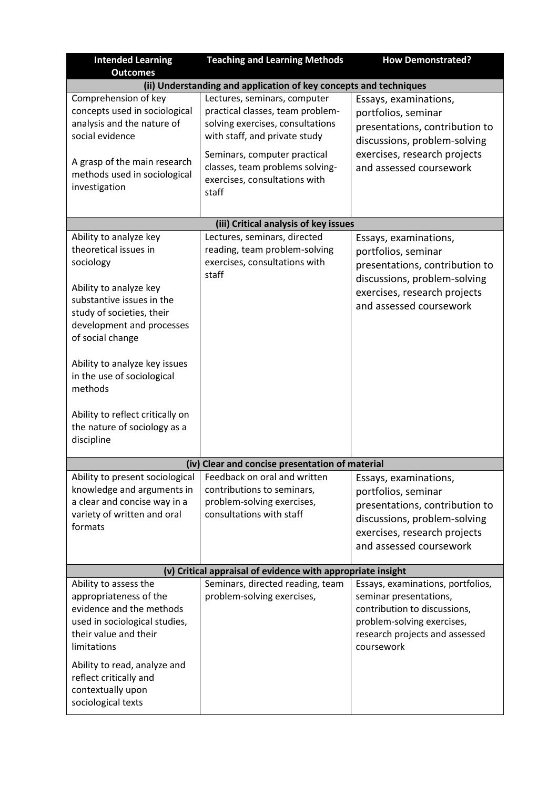| <b>Intended Learning</b><br><b>Outcomes</b>                                                                                                                                                                                                               | <b>Teaching and Learning Methods</b>                                                                                                                                  | <b>How Demonstrated?</b>                                                                                                                                                  |
|-----------------------------------------------------------------------------------------------------------------------------------------------------------------------------------------------------------------------------------------------------------|-----------------------------------------------------------------------------------------------------------------------------------------------------------------------|---------------------------------------------------------------------------------------------------------------------------------------------------------------------------|
|                                                                                                                                                                                                                                                           | (ii) Understanding and application of key concepts and techniques                                                                                                     |                                                                                                                                                                           |
| Comprehension of key<br>concepts used in sociological<br>analysis and the nature of<br>social evidence<br>A grasp of the main research                                                                                                                    | Lectures, seminars, computer<br>practical classes, team problem-<br>solving exercises, consultations<br>with staff, and private study<br>Seminars, computer practical | Essays, examinations,<br>portfolios, seminar<br>presentations, contribution to<br>discussions, problem-solving<br>exercises, research projects                            |
| methods used in sociological<br>investigation                                                                                                                                                                                                             | classes, team problems solving-<br>exercises, consultations with<br>staff<br>(iii) Critical analysis of key issues                                                    | and assessed coursework                                                                                                                                                   |
| Ability to analyze key                                                                                                                                                                                                                                    | Lectures, seminars, directed                                                                                                                                          |                                                                                                                                                                           |
| theoretical issues in<br>sociology<br>Ability to analyze key<br>substantive issues in the<br>study of societies, their<br>development and processes<br>of social change                                                                                   | reading, team problem-solving<br>exercises, consultations with<br>staff                                                                                               | Essays, examinations,<br>portfolios, seminar<br>presentations, contribution to<br>discussions, problem-solving<br>exercises, research projects<br>and assessed coursework |
| Ability to analyze key issues<br>in the use of sociological<br>methods<br>Ability to reflect critically on<br>the nature of sociology as a<br>discipline                                                                                                  |                                                                                                                                                                       |                                                                                                                                                                           |
|                                                                                                                                                                                                                                                           |                                                                                                                                                                       |                                                                                                                                                                           |
|                                                                                                                                                                                                                                                           | (iv) Clear and concise presentation of material                                                                                                                       |                                                                                                                                                                           |
| Ability to present sociological<br>knowledge and arguments in<br>a clear and concise way in a<br>variety of written and oral<br>formats                                                                                                                   | Feedback on oral and written<br>contributions to seminars,<br>problem-solving exercises,<br>consultations with staff                                                  | Essays, examinations,<br>portfolios, seminar<br>presentations, contribution to<br>discussions, problem-solving<br>exercises, research projects<br>and assessed coursework |
| (v) Critical appraisal of evidence with appropriate insight                                                                                                                                                                                               |                                                                                                                                                                       |                                                                                                                                                                           |
| Ability to assess the<br>appropriateness of the<br>evidence and the methods<br>used in sociological studies,<br>their value and their<br>limitations<br>Ability to read, analyze and<br>reflect critically and<br>contextually upon<br>sociological texts | Seminars, directed reading, team<br>problem-solving exercises,                                                                                                        | Essays, examinations, portfolios,<br>seminar presentations,<br>contribution to discussions,<br>problem-solving exercises,<br>research projects and assessed<br>coursework |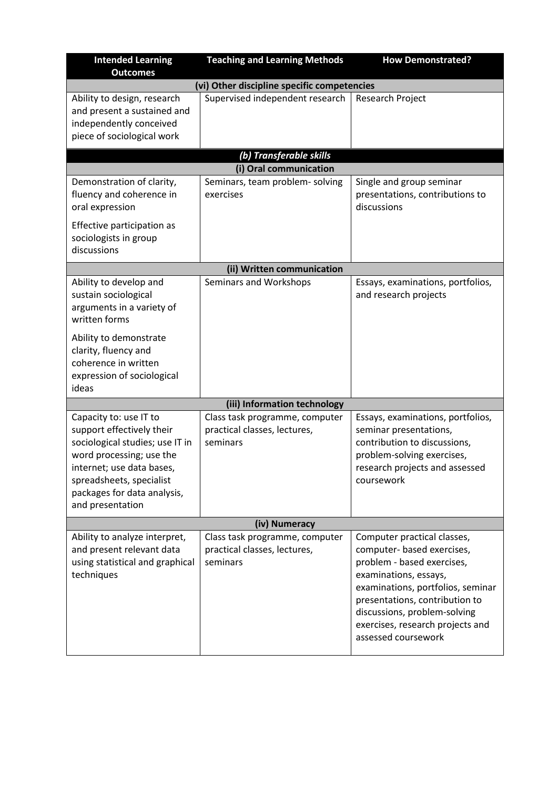| <b>Intended Learning</b><br><b>Outcomes</b>                                                                                                                                                                                    | <b>Teaching and Learning Methods</b>                                       | <b>How Demonstrated?</b>                                                                                                                                                                                                                                                           |
|--------------------------------------------------------------------------------------------------------------------------------------------------------------------------------------------------------------------------------|----------------------------------------------------------------------------|------------------------------------------------------------------------------------------------------------------------------------------------------------------------------------------------------------------------------------------------------------------------------------|
|                                                                                                                                                                                                                                | (vi) Other discipline specific competencies                                |                                                                                                                                                                                                                                                                                    |
| Ability to design, research<br>and present a sustained and<br>independently conceived<br>piece of sociological work                                                                                                            | Supervised independent research                                            | Research Project                                                                                                                                                                                                                                                                   |
|                                                                                                                                                                                                                                | (b) Transferable skills                                                    |                                                                                                                                                                                                                                                                                    |
|                                                                                                                                                                                                                                | (i) Oral communication                                                     |                                                                                                                                                                                                                                                                                    |
| Demonstration of clarity,<br>fluency and coherence in<br>oral expression                                                                                                                                                       | Seminars, team problem- solving<br>exercises                               | Single and group seminar<br>presentations, contributions to<br>discussions                                                                                                                                                                                                         |
| Effective participation as<br>sociologists in group<br>discussions                                                                                                                                                             |                                                                            |                                                                                                                                                                                                                                                                                    |
|                                                                                                                                                                                                                                | (ii) Written communication                                                 |                                                                                                                                                                                                                                                                                    |
| Ability to develop and<br>sustain sociological<br>arguments in a variety of<br>written forms                                                                                                                                   | Seminars and Workshops                                                     | Essays, examinations, portfolios,<br>and research projects                                                                                                                                                                                                                         |
| Ability to demonstrate<br>clarity, fluency and<br>coherence in written<br>expression of sociological<br>ideas                                                                                                                  |                                                                            |                                                                                                                                                                                                                                                                                    |
|                                                                                                                                                                                                                                | (iii) Information technology                                               |                                                                                                                                                                                                                                                                                    |
| Capacity to: use IT to<br>support effectively their<br>sociological studies; use IT in<br>word processing; use the<br>internet; use data bases,<br>spreadsheets, specialist<br>packages for data analysis,<br>and presentation | Class task programme, computer<br>practical classes, lectures,<br>seminars | Essays, examinations, portfolios,<br>seminar presentations,<br>contribution to discussions,<br>problem-solving exercises,<br>research projects and assessed<br>coursework                                                                                                          |
| (iv) Numeracy                                                                                                                                                                                                                  |                                                                            |                                                                                                                                                                                                                                                                                    |
| Ability to analyze interpret,<br>and present relevant data<br>using statistical and graphical<br>techniques                                                                                                                    | Class task programme, computer<br>practical classes, lectures,<br>seminars | Computer practical classes,<br>computer- based exercises,<br>problem - based exercises,<br>examinations, essays,<br>examinations, portfolios, seminar<br>presentations, contribution to<br>discussions, problem-solving<br>exercises, research projects and<br>assessed coursework |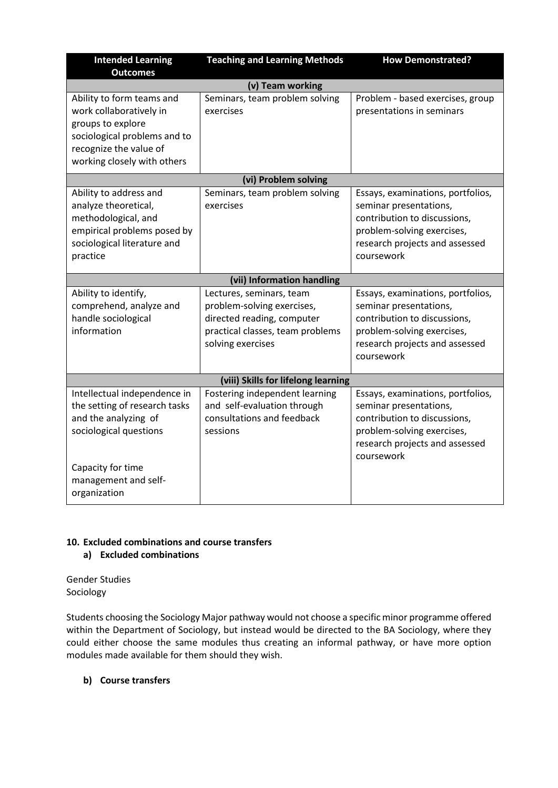| <b>Intended Learning</b><br><b>Outcomes</b>                                                                                                                                  | <b>Teaching and Learning Methods</b>                                                                                                          | <b>How Demonstrated?</b>                                                                                                                                                  |
|------------------------------------------------------------------------------------------------------------------------------------------------------------------------------|-----------------------------------------------------------------------------------------------------------------------------------------------|---------------------------------------------------------------------------------------------------------------------------------------------------------------------------|
|                                                                                                                                                                              | (v) Team working                                                                                                                              |                                                                                                                                                                           |
| Ability to form teams and<br>work collaboratively in<br>groups to explore<br>sociological problems and to<br>recognize the value of<br>working closely with others           | Seminars, team problem solving<br>exercises                                                                                                   | Problem - based exercises, group<br>presentations in seminars                                                                                                             |
|                                                                                                                                                                              | (vi) Problem solving                                                                                                                          |                                                                                                                                                                           |
| Ability to address and<br>analyze theoretical,<br>methodological, and<br>empirical problems posed by<br>sociological literature and<br>practice                              | Seminars, team problem solving<br>exercises                                                                                                   | Essays, examinations, portfolios,<br>seminar presentations,<br>contribution to discussions,<br>problem-solving exercises,<br>research projects and assessed<br>coursework |
|                                                                                                                                                                              | (vii) Information handling                                                                                                                    |                                                                                                                                                                           |
| Ability to identify,<br>comprehend, analyze and<br>handle sociological<br>information                                                                                        | Lectures, seminars, team<br>problem-solving exercises,<br>directed reading, computer<br>practical classes, team problems<br>solving exercises | Essays, examinations, portfolios,<br>seminar presentations,<br>contribution to discussions,<br>problem-solving exercises,<br>research projects and assessed<br>coursework |
| (viii) Skills for lifelong learning                                                                                                                                          |                                                                                                                                               |                                                                                                                                                                           |
| Intellectual independence in<br>the setting of research tasks<br>and the analyzing of<br>sociological questions<br>Capacity for time<br>management and self-<br>organization | Fostering independent learning<br>and self-evaluation through<br>consultations and feedback<br>sessions                                       | Essays, examinations, portfolios,<br>seminar presentations,<br>contribution to discussions,<br>problem-solving exercises,<br>research projects and assessed<br>coursework |

### **10. Excluded combinations and course transfers a) Excluded combinations**

Gender Studies Sociology

Students choosing the Sociology Major pathway would not choose a specific minor programme offered within the Department of Sociology, but instead would be directed to the BA Sociology, where they could either choose the same modules thus creating an informal pathway, or have more option modules made available for them should they wish.

# **b) Course transfers**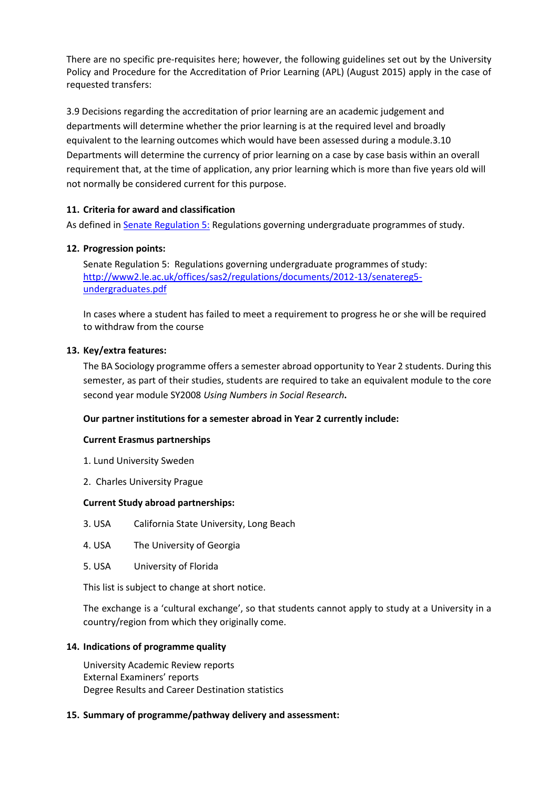There are no specific pre-requisites here; however, the following guidelines set out by the University Policy and Procedure for the Accreditation of Prior Learning (APL) (August 2015) apply in the case of requested transfers:

3.9 Decisions regarding the accreditation of prior learning are an academic judgement and departments will determine whether the prior learning is at the required level and broadly equivalent to the learning outcomes which would have been assessed during a module.3.10 Departments will determine the currency of prior learning on a case by case basis within an overall requirement that, at the time of application, any prior learning which is more than five years old will not normally be considered current for this purpose.

# **11. Criteria for award and classification**

As defined i[n Senate Regulation 5:](http://www.le.ac.uk/senate-regulation5) Regulations governing undergraduate programmes of study.

# **12. Progression points:**

Senate Regulation 5: Regulations governing undergraduate programmes of study: [http://www2.le.ac.uk/offices/sas2/regulations/documents/2012-13/senatereg5](http://www2.le.ac.uk/offices/sas2/regulations/documents/2012-13/senatereg5-undergraduates.pdf) [undergraduates.pdf](http://www2.le.ac.uk/offices/sas2/regulations/documents/2012-13/senatereg5-undergraduates.pdf)

In cases where a student has failed to meet a requirement to progress he or she will be required to withdraw from the course

# **13. Key/extra features:**

The BA Sociology programme offers a semester abroad opportunity to Year 2 students. During this semester, as part of their studies, students are required to take an equivalent module to the core second year module SY2008 *Using Numbers in Social Research***.**

# **Our partner institutions for a semester abroad in Year 2 currently include:**

#### **Current Erasmus partnerships**

- 1. Lund University Sweden
- 2. Charles University Prague

#### **Current Study abroad partnerships:**

- 3. USA California State University, Long Beach
- 4. USA The University of Georgia
- 5. USA University of Florida

This list is subject to change at short notice.

The exchange is a 'cultural exchange', so that students cannot apply to study at a University in a country/region from which they originally come.

#### **14. Indications of programme quality**

University Academic Review reports External Examiners' reports Degree Results and Career Destination statistics

#### **15. Summary of programme/pathway delivery and assessment:**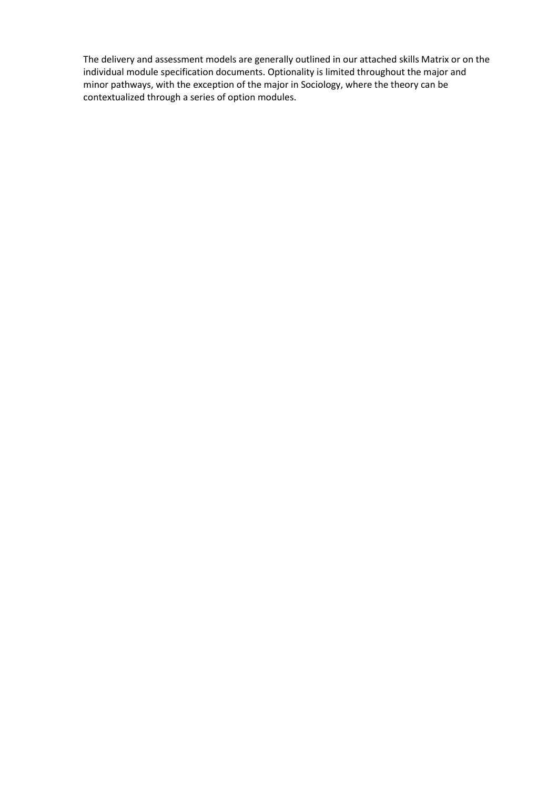The delivery and assessment models are generally outlined in our attached skills Matrix or on the individual module specification documents. Optionality is limited throughout the major and minor pathways, with the exception of the major in Sociology, where the theory can be contextualized through a series of option modules.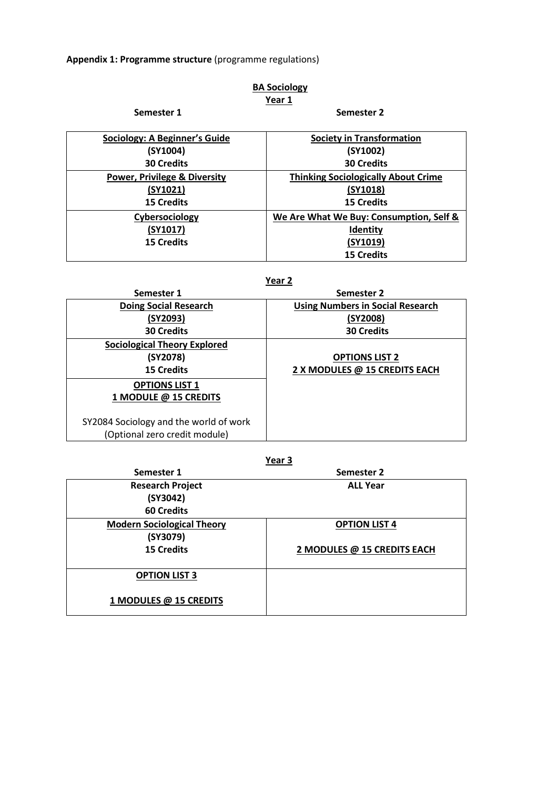**Appendix 1: Programme structure** (programme regulations)

# **BA Sociology Year 1**

# **Semester 1 Semester 2**

| <b>Sociology: A Beginner's Guide</b>    | <b>Society in Transformation</b>           |
|-----------------------------------------|--------------------------------------------|
| (SY1004)                                | (SY1002)                                   |
| <b>30 Credits</b>                       | <b>30 Credits</b>                          |
| <b>Power, Privilege &amp; Diversity</b> | <b>Thinking Sociologically About Crime</b> |
| (SY1021)                                | (SY1018)                                   |
| <b>15 Credits</b>                       | <b>15 Credits</b>                          |
| Cybersociology                          | We Are What We Buy: Consumption, Self &    |
| (SY1017)                                | Identity                                   |
| <b>15 Credits</b>                       | (SY1019)                                   |
|                                         | <b>15 Credits</b>                          |

# **Year 2**

| Semester 1                             | Semester 2                              |
|----------------------------------------|-----------------------------------------|
| <b>Doing Social Research</b>           | <b>Using Numbers in Social Research</b> |
| (SY2093)                               | (SY2008)                                |
| <b>30 Credits</b>                      | <b>30 Credits</b>                       |
| <b>Sociological Theory Explored</b>    |                                         |
| (SY2078)                               | <b>OPTIONS LIST 2</b>                   |
| <b>15 Credits</b>                      | 2 X MODULES @ 15 CREDITS EACH           |
| <b>OPTIONS LIST 1</b>                  |                                         |
| 1 MODULE @ 15 CREDITS                  |                                         |
|                                        |                                         |
| SY2084 Sociology and the world of work |                                         |
| (Optional zero credit module)          |                                         |

## **Year 3**

| Semester 1                        | Semester 2                  |
|-----------------------------------|-----------------------------|
| <b>Research Project</b>           | <b>ALL Year</b>             |
| (SY3042)                          |                             |
| <b>60 Credits</b>                 |                             |
| <b>Modern Sociological Theory</b> | <b>OPTION LIST 4</b>        |
| (SY3079)                          |                             |
| <b>15 Credits</b>                 | 2 MODULES @ 15 CREDITS EACH |
|                                   |                             |
| <b>OPTION LIST 3</b>              |                             |
|                                   |                             |
| 1 MODULES @ 15 CREDITS            |                             |
|                                   |                             |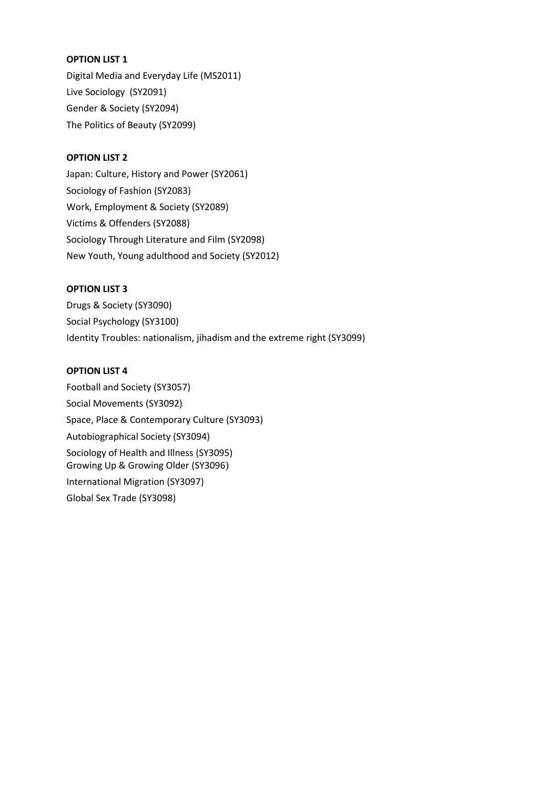### **OPTION LIST 1**

Digital Media and Everyday Life (MS2011) Live Sociology (SY2091) Gender & Society (SY2094) The Politics of Beauty (SY2099)

## **OPTION LIST 2**

Japan: Culture, History and Power (SY2061) Sociology of Fashion (SY2083) Work, Employment & Society (SY2089) Victims & Offenders (SY2088) Sociology Through Literature and Film (SY2098) New Youth, Young adulthood and Society (SY2012)

#### **OPTION LIST 3**

Drugs & Society (SY3090) Social Psychology (SY3100) Identity Troubles: nationalism, jihadism and the extreme right (SY3099)

#### **OPTION LIST 4**

Football and Society (SY3057) Social Movements (SY3092) Space, Place & Contemporary Culture (SY3093) Autobiographical Society (SY3094) Sociology of Health and Illness (SY3095) Growing Up & Growing Older (SY3096) International Migration (SY3097) Global Sex Trade (SY3098)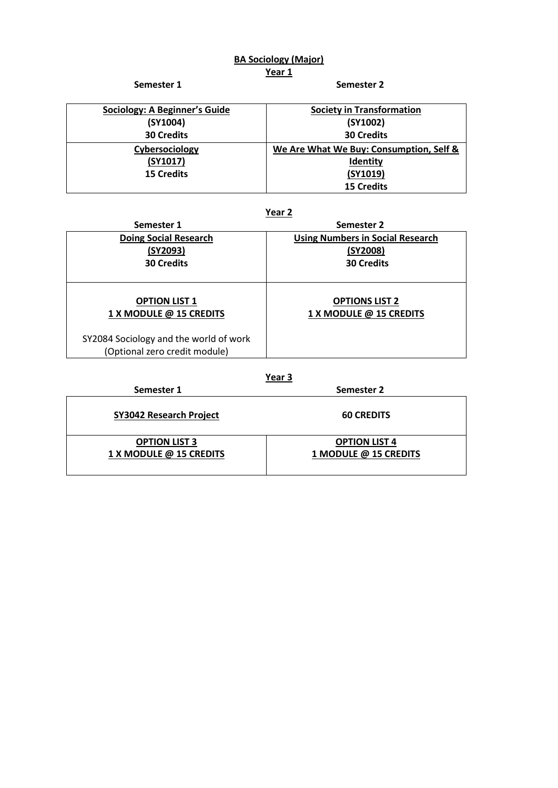# **BA Sociology (Major) Year 1**

**Semester 1 Semester 2** 

| Sociology: A Beginner's Guide | <b>Society in Transformation</b>        |
|-------------------------------|-----------------------------------------|
| (SY1004)                      | (SY1002)                                |
| <b>30 Credits</b>             | <b>30 Credits</b>                       |
| Cybersociology                | We Are What We Buy: Consumption, Self & |
| (SY1017)                      | <b>Identity</b>                         |
| <b>15 Credits</b>             | (SY1019)                                |
|                               | <b>15 Credits</b>                       |

# **Year 2**

| Semester 2                              |
|-----------------------------------------|
| <b>Using Numbers in Social Research</b> |
| (SY2008)                                |
| <b>30 Credits</b>                       |
|                                         |
| <b>OPTIONS LIST 2</b>                   |
| 1 X MODULE @ 15 CREDITS                 |
|                                         |
|                                         |

## **Year 3**

| Semester 1                     | Semester 2            |  |
|--------------------------------|-----------------------|--|
| <b>SY3042 Research Project</b> | <b>60 CREDITS</b>     |  |
| <b>OPTION LIST 3</b>           | <b>OPTION LIST 4</b>  |  |
| 1 X MODULE @ 15 CREDITS        | 1 MODULE @ 15 CREDITS |  |
|                                |                       |  |